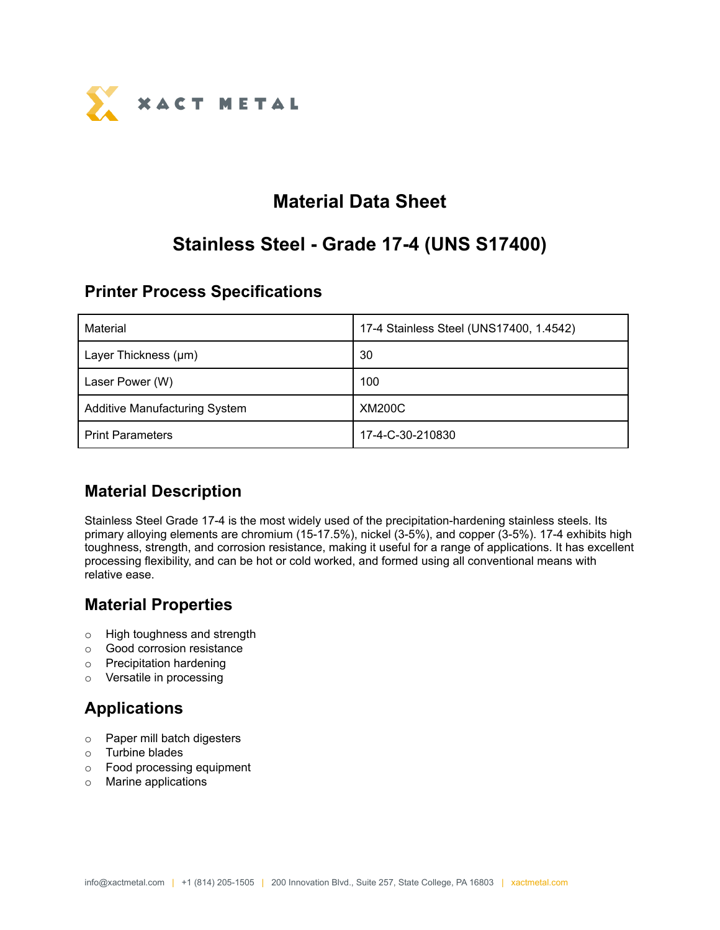

# **Material Data Sheet**

# **Stainless Steel - Grade 17-4 (UNS S17400)**

### **Printer Process Specifications**

| Material                             | 17-4 Stainless Steel (UNS17400, 1.4542) |
|--------------------------------------|-----------------------------------------|
| Layer Thickness (µm)                 | 30                                      |
| Laser Power (W)                      | 100                                     |
| <b>Additive Manufacturing System</b> | <b>XM200C</b>                           |
| <b>Print Parameters</b>              | 17-4-C-30-210830                        |

## **Material Description**

Stainless Steel Grade 17-4 is the most widely used of the precipitation-hardening stainless steels. Its primary alloying elements are chromium (15-17.5%), nickel (3-5%), and copper (3-5%). 17-4 exhibits high toughness, strength, and corrosion resistance, making it useful for a range of applications. It has excellent processing flexibility, and can be hot or cold worked, and formed using all conventional means with relative ease.

## **Material Properties**

- o High toughness and strength
- o Good corrosion resistance
- o Precipitation hardening
- o Versatile in processing

# **Applications**

- o Paper mill batch digesters
- o Turbine blades
- o Food processing equipment
- o Marine applications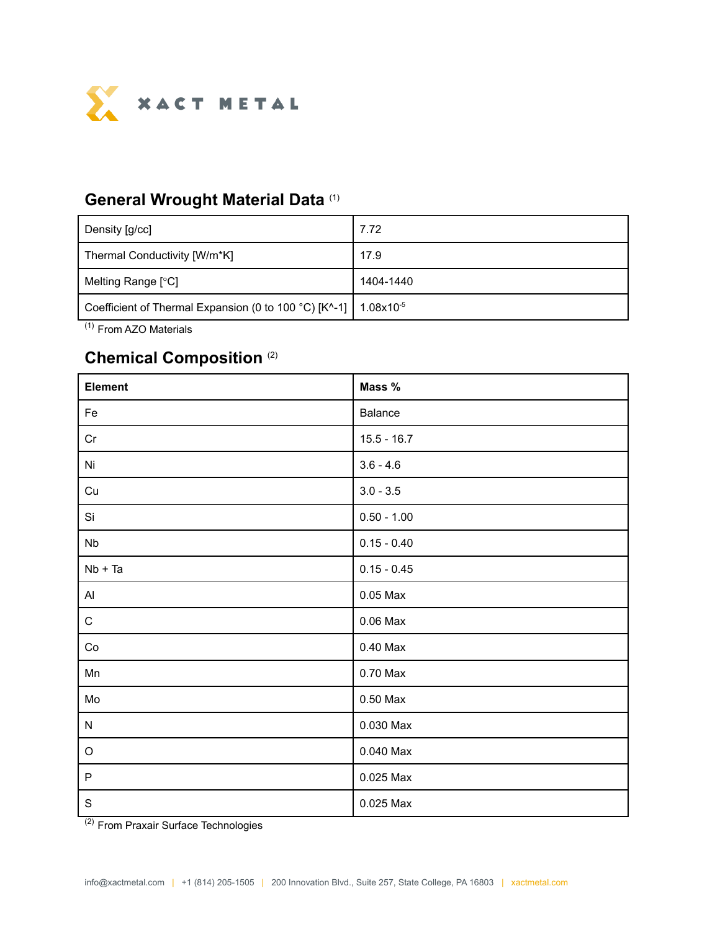

#### **General Wrought Material Data** (1)

| Density [g/cc]                                                                         | 7.72      |
|----------------------------------------------------------------------------------------|-----------|
| Thermal Conductivity [W/m*K]                                                           | 17.9      |
| Melting Range [°C]                                                                     | 1404-1440 |
| Coefficient of Thermal Expansion (0 to 100 °C) $[K^{\wedge}$ -1] 1.08x10 <sup>-5</sup> |           |

(1) From AZO Materials

## **Chemical Composition** (2)

| Element     | Mass %        |
|-------------|---------------|
| Fe          | Balance       |
| Cr          | $15.5 - 16.7$ |
| Ni          | $3.6 - 4.6$   |
| Cu          | $3.0 - 3.5$   |
| Si          | $0.50 - 1.00$ |
| <b>Nb</b>   | $0.15 - 0.40$ |
| $Nb + Ta$   | $0.15 - 0.45$ |
| Al          | $0.05$ Max    |
| $\mathbf C$ | $0.06$ Max    |
| Co          | $0.40$ Max    |
| Mn          | 0.70 Max      |
| Mo          | $0.50$ Max    |
| ${\sf N}$   | 0.030 Max     |
| $\mathsf O$ | $0.040$ Max   |
| P           | 0.025 Max     |
| $\mathbf S$ | 0.025 Max     |

<sup>(2)</sup> From Praxair Surface Technologies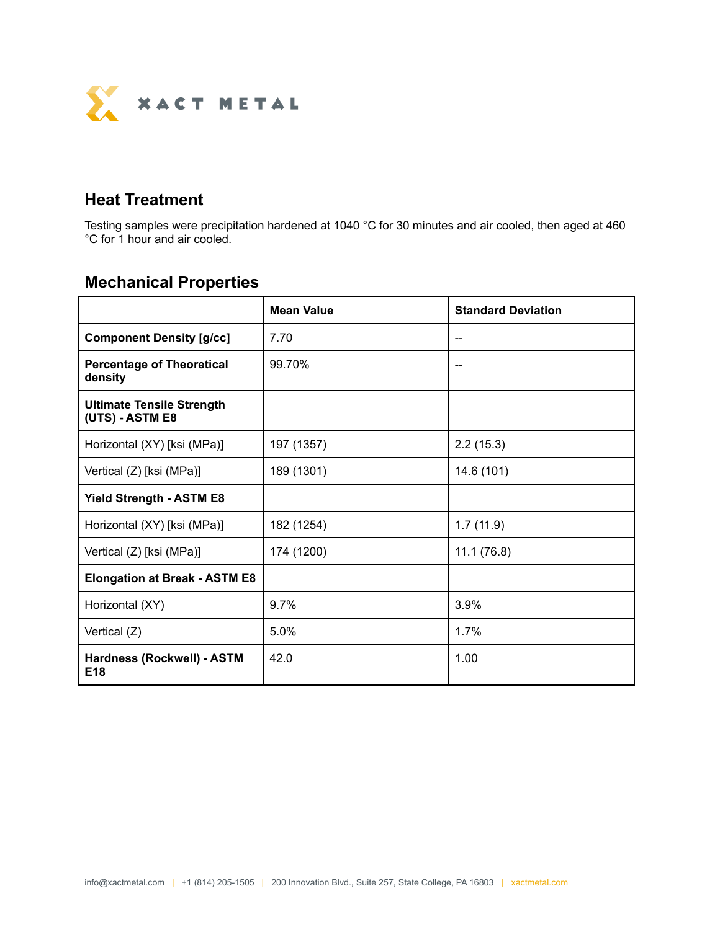

### **Heat Treatment**

Testing samples were precipitation hardened at 1040 °C for 30 minutes and air cooled, then aged at 460 °C for 1 hour and air cooled.

# **Mechanical Properties**

|                                                     | <b>Mean Value</b> | <b>Standard Deviation</b> |
|-----------------------------------------------------|-------------------|---------------------------|
| <b>Component Density [g/cc]</b>                     | 7.70              |                           |
| <b>Percentage of Theoretical</b><br>density         | 99.70%            |                           |
| <b>Ultimate Tensile Strength</b><br>(UTS) - ASTM E8 |                   |                           |
| Horizontal (XY) [ksi (MPa)]                         | 197 (1357)        | 2.2(15.3)                 |
| Vertical (Z) [ksi (MPa)]                            | 189 (1301)        | 14.6 (101)                |
| <b>Yield Strength - ASTM E8</b>                     |                   |                           |
| Horizontal (XY) [ksi (MPa)]                         | 182 (1254)        | 1.7(11.9)                 |
| Vertical (Z) [ksi (MPa)]                            | 174 (1200)        | 11.1(76.8)                |
| <b>Elongation at Break - ASTM E8</b>                |                   |                           |
| Horizontal (XY)                                     | 9.7%              | 3.9%                      |
| Vertical (Z)                                        | 5.0%              | 1.7%                      |
| Hardness (Rockwell) - ASTM<br>E <sub>18</sub>       | 42.0              | 1.00                      |